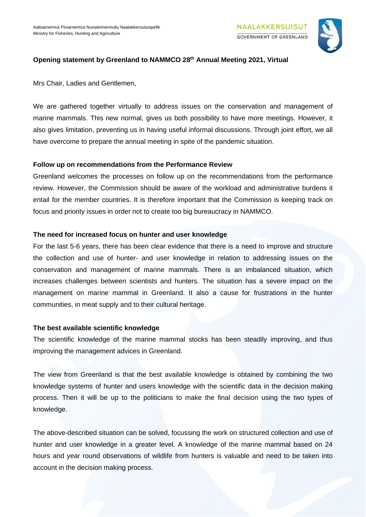

## **Opening statement by Greenland to NAMMCO 28 th Annual Meeting 2021, Virtual**

Mrs Chair, Ladies and Gentlemen,

We are gathered together virtually to address issues on the conservation and management of marine mammals. This new normal, gives us both possibility to have more meetings. However, it also gives limitation, preventing us in having useful informal discussions. Through joint effort, we all have overcome to prepare the annual meeting in spite of the pandemic situation.

## **Follow up on recommendations from the Performance Review**

Greenland welcomes the processes on follow up on the recommendations from the performance review. However, the Commission should be aware of the workload and administrative burdens it entail for the member countries. It is therefore important that the Commission is keeping track on focus and priority issues in order not to create too big bureaucracy in NAMMCO.

## **The need for increased focus on hunter and user knowledge**

For the last 5-6 years, there has been clear evidence that there is a need to improve and structure the collection and use of hunter- and user knowledge in relation to addressing issues on the conservation and management of marine mammals. There is an imbalanced situation, which increases challenges between scientists and hunters. The situation has a severe impact on the management on marine mammal in Greenland. It also a cause for frustrations in the hunter communities, in meat supply and to their cultural heritage.

## **The best available scientific knowledge**

The scientific knowledge of the marine mammal stocks has been steadily improving, and thus improving the management advices in Greenland.

The view from Greenland is that the best available knowledge is obtained by combining the two knowledge systems of hunter and users knowledge with the scientific data in the decision making process. Then it will be up to the politicians to make the final decision using the two types of knowledge.

The above-described situation can be solved, focussing the work on structured collection and use of hunter and user knowledge in a greater level. A knowledge of the marine mammal based on 24 hours and year round observations of wildlife from hunters is valuable and need to be taken into account in the decision making process.